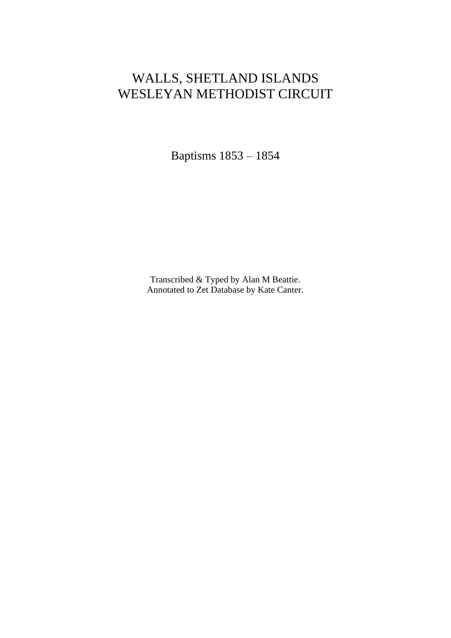## WALLS, SHETLAND ISLANDS WESLEYAN METHODIST CIRCUIT

Baptisms 1853 – 1854

Transcribed & Typed by Alan M Beattie. Annotated to Zet Database by Kate Canter.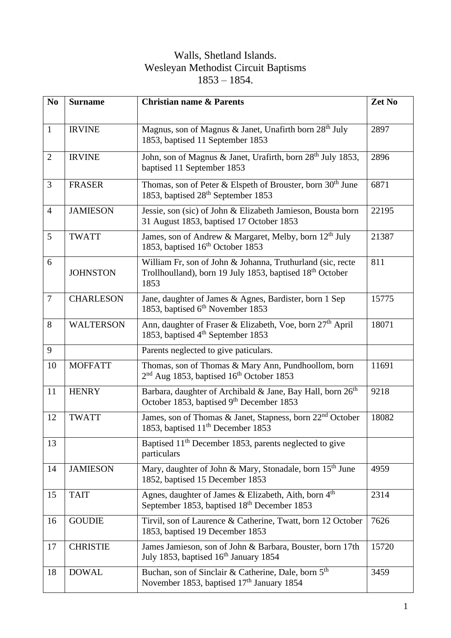## Walls, Shetland Islands. Wesleyan Methodist Circuit Baptisms – 1854.

| N <sub>0</sub> | <b>Surname</b>   | <b>Christian name &amp; Parents</b>                                                                                                        | Zet No |
|----------------|------------------|--------------------------------------------------------------------------------------------------------------------------------------------|--------|
| $\mathbf{1}$   | <b>IRVINE</b>    | Magnus, son of Magnus & Janet, Unafirth born 28 <sup>th</sup> July<br>1853, baptised 11 September 1853                                     | 2897   |
| $\overline{2}$ | <b>IRVINE</b>    | John, son of Magnus & Janet, Urafirth, born 28 <sup>th</sup> July 1853,<br>baptised 11 September 1853                                      | 2896   |
| 3              | <b>FRASER</b>    | Thomas, son of Peter & Elspeth of Brouster, born 30 <sup>th</sup> June<br>1853, baptised 28 <sup>th</sup> September 1853                   | 6871   |
| $\overline{4}$ | <b>JAMIESON</b>  | Jessie, son (sic) of John & Elizabeth Jamieson, Bousta born<br>31 August 1853, baptised 17 October 1853                                    | 22195  |
| 5              | <b>TWATT</b>     | James, son of Andrew & Margaret, Melby, born 12 <sup>th</sup> July<br>1853, baptised 16 <sup>th</sup> October 1853                         | 21387  |
| 6              | <b>JOHNSTON</b>  | William Fr, son of John & Johanna, Truthurland (sic, recte<br>Trollhoulland), born 19 July 1853, baptised 18 <sup>th</sup> October<br>1853 | 811    |
| $\overline{7}$ | <b>CHARLESON</b> | Jane, daughter of James & Agnes, Bardister, born 1 Sep<br>1853, baptised 6 <sup>th</sup> November 1853                                     | 15775  |
| 8              | <b>WALTERSON</b> | Ann, daughter of Fraser & Elizabeth, Voe, born 27 <sup>th</sup> April<br>1853, baptised 4 <sup>th</sup> September 1853                     | 18071  |
| 9              |                  | Parents neglected to give paticulars.                                                                                                      |        |
| 10             | <b>MOFFATT</b>   | Thomas, son of Thomas & Mary Ann, Pundhoollom, born<br>2 <sup>nd</sup> Aug 1853, baptised 16 <sup>th</sup> October 1853                    | 11691  |
| 11             | <b>HENRY</b>     | Barbara, daughter of Archibald & Jane, Bay Hall, born 26 <sup>th</sup><br>October 1853, baptised 9th December 1853                         | 9218   |
| 12             | <b>TWATT</b>     | James, son of Thomas & Janet, Stapness, born 22 <sup>nd</sup> October<br>1853, baptised 11 <sup>th</sup> December 1853                     | 18082  |
| 13             |                  | Baptised 11 <sup>th</sup> December 1853, parents neglected to give<br>particulars                                                          |        |
| 14             | <b>JAMIESON</b>  | Mary, daughter of John & Mary, Stonadale, born 15 <sup>th</sup> June<br>1852, baptised 15 December 1853                                    | 4959   |
| 15             | <b>TAIT</b>      | Agnes, daughter of James & Elizabeth, Aith, born 4 <sup>th</sup><br>September 1853, baptised 18 <sup>th</sup> December 1853                | 2314   |
| 16             | <b>GOUDIE</b>    | Tirvil, son of Laurence & Catherine, Twatt, born 12 October<br>1853, baptised 19 December 1853                                             | 7626   |
| 17             | <b>CHRISTIE</b>  | James Jamieson, son of John & Barbara, Bouster, born 17th<br>July 1853, baptised 16 <sup>th</sup> January 1854                             | 15720  |
| 18             | <b>DOWAL</b>     | Buchan, son of Sinclair & Catherine, Dale, born 5 <sup>th</sup><br>November 1853, baptised 17 <sup>th</sup> January 1854                   | 3459   |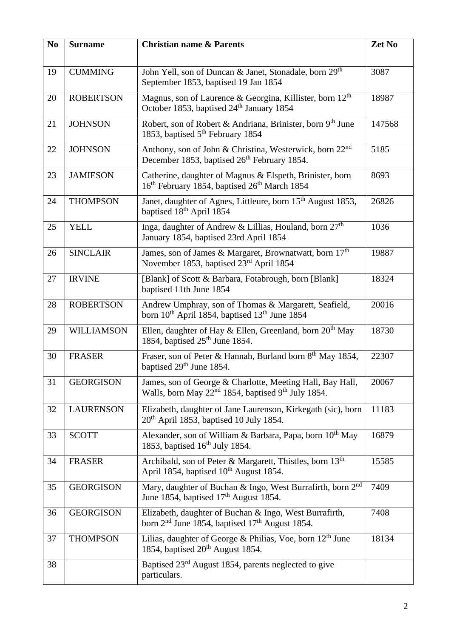| N <sub>0</sub> | <b>Surname</b>    | <b>Christian name &amp; Parents</b>                                                                                              | Zet No |
|----------------|-------------------|----------------------------------------------------------------------------------------------------------------------------------|--------|
| 19             | <b>CUMMING</b>    | John Yell, son of Duncan & Janet, Stonadale, born 29th<br>September 1853, baptised 19 Jan 1854                                   | 3087   |
| 20             | <b>ROBERTSON</b>  | Magnus, son of Laurence & Georgina, Killister, born 12 <sup>th</sup><br>October 1853, baptised 24 <sup>th</sup> January 1854     | 18987  |
| 21             | <b>JOHNSON</b>    | Robert, son of Robert & Andriana, Brinister, born 9th June<br>1853, baptised 5 <sup>th</sup> February 1854                       | 147568 |
| 22             | <b>JOHNSON</b>    | Anthony, son of John & Christina, Westerwick, born 22 <sup>nd</sup><br>December 1853, baptised 26 <sup>th</sup> February 1854.   | 5185   |
| 23             | <b>JAMIESON</b>   | Catherine, daughter of Magnus & Elspeth, Brinister, born<br>16 <sup>th</sup> February 1854, baptised 26 <sup>th</sup> March 1854 | 8693   |
| 24             | <b>THOMPSON</b>   | Janet, daughter of Agnes, Littleure, born 15 <sup>th</sup> August 1853,<br>baptised 18 <sup>th</sup> April 1854                  | 26826  |
| 25             | <b>YELL</b>       | Inga, daughter of Andrew & Lillias, Houland, born 27 <sup>th</sup><br>January 1854, baptised 23rd April 1854                     | 1036   |
| 26             | <b>SINCLAIR</b>   | James, son of James & Margaret, Brownatwatt, born 17 <sup>th</sup><br>November 1853, baptised 23 <sup>rd</sup> April 1854        | 19887  |
| 27             | <b>IRVINE</b>     | [Blank] of Scott & Barbara, Fotabrough, born [Blank]<br>baptised 11th June 1854                                                  | 18324  |
| 28             | <b>ROBERTSON</b>  | Andrew Umphray, son of Thomas & Margarett, Seafield,<br>born 10 <sup>th</sup> April 1854, baptised 13 <sup>th</sup> June 1854    | 20016  |
| 29             | <b>WILLIAMSON</b> | Ellen, daughter of Hay & Ellen, Greenland, born 20 <sup>th</sup> May<br>1854, baptised $25th$ June 1854.                         | 18730  |
| 30             | <b>FRASER</b>     | Fraser, son of Peter & Hannah, Burland born 8 <sup>th</sup> May 1854,<br>baptised 29 <sup>th</sup> June 1854.                    | 22307  |
| 31             | <b>GEORGISON</b>  | James, son of George & Charlotte, Meeting Hall, Bay Hall,<br>Walls, born May $22^{nd}$ 1854, baptised 9 <sup>th</sup> July 1854. | 20067  |
| 32             | <b>LAURENSON</b>  | Elizabeth, daughter of Jane Laurenson, Kirkegath (sic), born<br>$20th$ April 1853, baptised 10 July 1854.                        | 11183  |
| 33             | <b>SCOTT</b>      | Alexander, son of William & Barbara, Papa, born 10 <sup>th</sup> May<br>1853, baptised $16th$ July 1854.                         | 16879  |
| 34             | <b>FRASER</b>     | Archibald, son of Peter & Margarett, Thistles, born 13 <sup>th</sup><br>April 1854, baptised 10 <sup>th</sup> August 1854.       | 15585  |
| 35             | <b>GEORGISON</b>  | Mary, daughter of Buchan & Ingo, West Burrafirth, born 2 <sup>nd</sup><br>June 1854, baptised 17 <sup>th</sup> August 1854.      | 7409   |
| 36             | <b>GEORGISON</b>  | Elizabeth, daughter of Buchan & Ingo, West Burrafirth,<br>born $2nd$ June 1854, baptised 17 <sup>th</sup> August 1854.           | 7408   |
| 37             | <b>THOMPSON</b>   | Lilias, daughter of George & Philias, Voe, born 12 <sup>th</sup> June<br>1854, baptised 20 <sup>th</sup> August 1854.            | 18134  |
| 38             |                   | Baptised 23 <sup>rd</sup> August 1854, parents neglected to give<br>particulars.                                                 |        |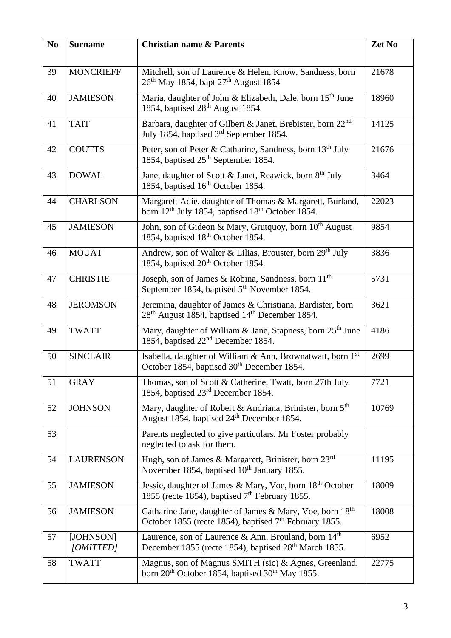| No | <b>Surname</b>         | <b>Christian name &amp; Parents</b>                                                                                                   | Zet No |
|----|------------------------|---------------------------------------------------------------------------------------------------------------------------------------|--------|
| 39 | <b>MONCRIEFF</b>       | Mitchell, son of Laurence & Helen, Know, Sandness, born<br>26 <sup>th</sup> May 1854, bapt 27 <sup>th</sup> August 1854               | 21678  |
| 40 | <b>JAMIESON</b>        | Maria, daughter of John & Elizabeth, Dale, born 15 <sup>th</sup> June<br>1854, baptised 28 <sup>th</sup> August 1854.                 | 18960  |
| 41 | <b>TAIT</b>            | Barbara, daughter of Gilbert & Janet, Brebister, born 22 <sup>nd</sup><br>July 1854, baptised 3 <sup>rd</sup> September 1854.         | 14125  |
| 42 | <b>COUTTS</b>          | Peter, son of Peter & Catharine, Sandness, born 13 <sup>th</sup> July<br>1854, baptised 25 <sup>th</sup> September 1854.              | 21676  |
| 43 | <b>DOWAL</b>           | Jane, daughter of Scott & Janet, Reawick, born 8 <sup>th</sup> July<br>1854, baptised 16 <sup>th</sup> October 1854.                  | 3464   |
| 44 | <b>CHARLSON</b>        | Margarett Adie, daughter of Thomas & Margarett, Burland,<br>born 12 <sup>th</sup> July 1854, baptised 18 <sup>th</sup> October 1854.  | 22023  |
| 45 | <b>JAMIESON</b>        | John, son of Gideon & Mary, Grutquoy, born 10 <sup>th</sup> August<br>1854, baptised 18 <sup>th</sup> October 1854.                   | 9854   |
| 46 | <b>MOUAT</b>           | Andrew, son of Walter & Lilias, Brouster, born 29 <sup>th</sup> July<br>1854, baptised 20 <sup>th</sup> October 1854.                 | 3836   |
| 47 | <b>CHRISTIE</b>        | Joseph, son of James & Robina, Sandness, born 11 <sup>th</sup><br>September 1854, baptised 5 <sup>th</sup> November 1854.             | 5731   |
| 48 | <b>JEROMSON</b>        | Jeremina, daughter of James & Christiana, Bardister, born<br>28 <sup>th</sup> August 1854, baptised 14 <sup>th</sup> December 1854.   | 3621   |
| 49 | <b>TWATT</b>           | Mary, daughter of William & Jane, Stapness, born 25 <sup>th</sup> June<br>1854, baptised 22 <sup>nd</sup> December 1854.              | 4186   |
| 50 | <b>SINCLAIR</b>        | Isabella, daughter of William & Ann, Brownatwatt, born $1st$<br>October 1854, baptised 30 <sup>th</sup> December 1854.                | 2699   |
| 51 | <b>GRAY</b>            | Thomas, son of Scott & Catherine, Twatt, born 27th July<br>1854, baptised 23 <sup>rd</sup> December 1854.                             | 7721   |
| 52 | <b>JOHNSON</b>         | Mary, daughter of Robert & Andriana, Brinister, born 5 <sup>th</sup><br>August 1854, baptised 24 <sup>th</sup> December 1854.         | 10769  |
| 53 |                        | Parents neglected to give particulars. Mr Foster probably<br>neglected to ask for them.                                               |        |
| 54 | <b>LAURENSON</b>       | Hugh, son of James & Margarett, Brinister, born 23rd<br>November 1854, baptised 10 <sup>th</sup> January 1855.                        | 11195  |
| 55 | <b>JAMIESON</b>        | Jessie, daughter of James & Mary, Voe, born 18 <sup>th</sup> October<br>1855 (recte 1854), baptised 7 <sup>th</sup> February 1855.    | 18009  |
| 56 | <b>JAMIESON</b>        | Catharine Jane, daughter of James & Mary, Voe, born 18th<br>October 1855 (recte 1854), baptised $7th$ February 1855.                  | 18008  |
| 57 | [JOHNSON]<br>[OMITTED] | Laurence, son of Laurence & Ann, Brouland, born 14 <sup>th</sup><br>December 1855 (recte 1854), baptised 28 <sup>th</sup> March 1855. | 6952   |
| 58 | <b>TWATT</b>           | Magnus, son of Magnus SMITH (sic) & Agnes, Greenland,<br>born 20 <sup>th</sup> October 1854, baptised 30 <sup>th</sup> May 1855.      | 22775  |